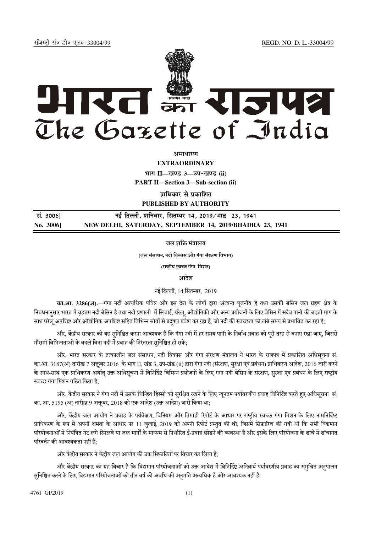jftLVªh laö Mhö ,yö&33004@99 REGD. NO. D. L.-33004/99



*असाधारण* 

**EXTRAORDINARY Hkkx II—[k.M 3—mi&[k.M (ii)**

**PART II—Section 3—Sub-section (ii)** 

**प्राधिकार से प्रकाशित PUBLISHED BY AUTHORITY**

 **la- 3006] ubZ fnYyh] 'kfuokj] flrEcj 14] 2019@Hkknz 23] 1941 No. 3006] NEW DELHI, SATURDAY, SEPTEMBER 14, 2019/BHADRA 23, 1941**

जल शक्ति मंत्रालय

(जल संसाधन, नदी िवकास और गंगा संरण िवभाग)

(राष्ट्रीय स्वच्छ गंगा मिशन)

आदेश

नई दिल्ली, 14 सितम्बर, 2019

का.आ. 3286(अ).—गंगा नदी अत्यधिक पवित्र और इस देश के लोगों द्वारा अंत्यन्त पुजनीय है तथा उसकी बेसिन जल ग्रहण क्षेत्र के निबंधनानुसार भारत में वृहत्तम नदी बेसिन है तथा नदी प्रणाली में सिंचाई, घरेलू, औद्योगिकी और अन्य प्रयोजनों के लिए बेसिन में सदैव पानी की बढ़ती मांग के साथ घरेलू अपशिष्ट और औद्योगिक अपशिष्ट सहित विभिन्न स्रोतों से प्रदूषण प्रवेश कर रहा है, जो नदी की स्वच्छता को लंबे समय से प्रभावित कर रहा है;

और, केंद्रीय सरकार को यह सुनिश्चित करना आवश्यक है कि गंगा नदी में हर समय पानी के निर्बाध प्रवाह को पूरी तरह से बनाए रखा जाए, जिससे मौसमी विभिन्नताओं के बदले बिना नदी में प्रवाह की निरंतरता सुनिश्चित हो सके;

और, भारत सरकार के तत्कालीन जल संसाधन, नदी विकास और गंगा संरक्षण मंत्रालय ने भारत के राजपत्र में प्रकाशित अधिसचना सं. का.आ. 3187(अ) तारीख 7 अक्तूबर 2016 के भाग II, खंड 3, उप-खंड (ii) द्वारा गंगा नदी (संरक्षण, सुरक्षा एवं प्रबंधन) प्राधिकरण आदेश, 2016 जारी करने के साथ-साथ एक प्राधिकरण अर्थात् उक्त अधिसूचना में विनिर्दिष्ट विभिन्न प्रयोजनों के लिए गंगा नदी बेसिन के संरक्षण, सुरक्षा एवं प्रबंधन के लिए राष्ट्रीय स्वच्छ गंगा मिशन गठित किया है;

और, केंद्रीय सरकार ने गंगा नदी में उसके चिन्हित हिस्सों को सुरक्षित रखने के लिए न्यूनतम पर्यावरणीय प्रवाह विनिर्दिष्ट करते हुए अधिसूचना सं. का. आ. 5195 (अ) तारीख 9 अक्तूबर, 2018 को एक आदेश (उक्त आदेश) जारी किया था;

और, केंद्रीय जल आयोग ने प्रवाह के पर्यवेक्षण, विनियम और तिमाही रिपोर्ट के आधार पर राष्ट्रीय स्वच्छ गंगा मिशन के लिए नामनिर्दिष्ट प्राधिकरण के रूप में अपनी क्षमता के आधार पर 11 जुलाई, 2019 को अपनी रिपोर्ट प्रस्तुत की थी, जिसमें सिफ़ारिश की गयी थी कि सभी विद्यमान परियोजनाओं में नियंत्रित गेट लगे स्पिलवे या जल मार्गों के माध्यम से निर्धारित ई-प्रवाह छोडने की व्यवस्था है और इसके लिए परियोजना के ढांचे में ढांचागत परिवर्तन की आवश्यकता नहीं है $\cdot$ 

और केंद्रीय सरकार ने केंद्रीय जल आयोग की उक्त सिफ़ारिशों पर विचार कर लिया है;

और केंद्रीय सरकार का यह विचार है कि विद्यमान परियोजनाओं को उक्त आदेश में विनिर्दिष्ट अनिवार्य पर्यावरणीय प्रवाह का समुचित अनुपालन सनिश्चित करने के लिए विद्यमान परियोजनाओं को तीन वर्ष की अवधि की अनमति अत्यधिक है और आवश्यक नहीं है।

4761 GI/2019 (1)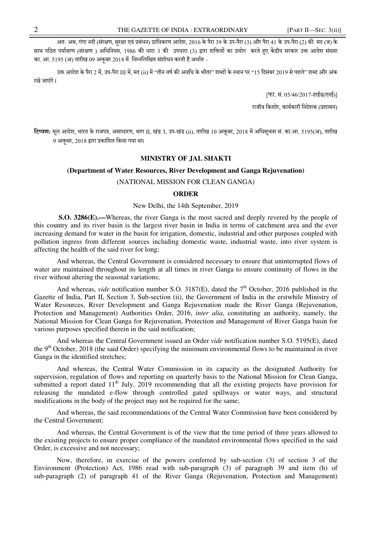अतः अब, गंगा नदी (संरक्षण, सरक्षा एवं प्रबंधन) प्राधिकरण आदेश, 2016 के पैरा 39 के उप-पैरा (3) और पैरा 41 के उप-पैरा (2) की मद (ज) के साथ पठित पर्यावरण (संरक्षण ) अधिनियम, 1986 की धारा 3 की उपधारा (3) द्वारा शक्तियों का प्रयोग करते हुए केंद्रीय सरकार उक्त आदेश संख्या का. आ. 5195 (अ) तारीख 09 अक्तूबर 2018 में निम्नलिखित संशोधन करती है अर्थात –

उक्त आदेश के पैरा 2 में, उप-पैरा III में, मद (ii) में 'तीन वर्ष की अवधि के भीतर'' शब्दों के स्थान पर "15 दिसंबर 2019 से पहले'' शब्द और अंक रखे जाएंगे ।

[फा. सं. 05/46/2017-हाईड(एनई)]

राजीव किशोर, कार्यकारी निदेशक (प्रशासन)

टिप्पण: मल आदेश, भारत के राजपत्र, असाधारण, भाग II, खंड 3, उप-खंड (ii), तारीख 10 अक्तबर, 2018 में अधिसचना सं. का.आ. 5195(अ), तारीख 9 अक्तूबर, 2018 द्वारा प्रकाशित किया गया था।

## **MINISTRY OF JAL SHAKTI**

## **(Department of Water Resources, River Development and Ganga Rejuvenation)**

(NATIONAL MISSION FOR CLEAN GANGA)

## **ORDER**

## New Delhi, the 14th September, 2019

**S.O. 3286(E).—**Whereas, the river Ganga is the most sacred and deeply revered by the people of this country and its river basin is the largest river basin in India in terms of catchment area and the ever increasing demand for water in the basin for irrigation, domestic, industrial and other purposes coupled with pollution ingress from different sources including domestic waste, industrial waste, into river system is affecting the health of the said river for long;

And whereas, the Central Government is considered necessary to ensure that uninterrupted flows of water are maintained throughout its length at all times in river Ganga to ensure continuity of flows in the river without altering the seasonal variations;

And whereas, *vide* notification number S.O. 3187(E), dated the  $7<sup>th</sup>$  October, 2016 published in the Gazette of India, Part II, Section 3, Sub-section (ii), the Government of India in the erstwhile Ministry of Water Resources, River Development and Ganga Rejuvenation made the River Ganga (Rejuvenation, Protection and Management) Authorities Order, 2016, *inter alia*, constituting an authority, namely, the National Mission for Clean Ganga for Rejuvenation, Protection and Management of River Ganga basin for various purposes specified therein in the said notification;

And whereas the Central Government issued an Order *vide* notification number S.O. 5195(E), dated the  $9<sup>th</sup> October, 2018$  (the said Order) specifying the minimum environmental flows to be maintained in river Ganga in the identified stretches;

And whereas, the Central Water Commission in its capacity as the designated Authority for supervision, regulation of flows and reporting on quarterly basis to the National Mission for Clean Ganga, submitted a report dated  $11<sup>th</sup>$  July, 2019 recommending that all the existing projects have provision for releasing the mandated e-flow through controlled gated spillways or water ways, and structural modifications in the body of the project may not be required for the same;

And whereas, the said recommendations of the Central Water Commission have been considered by the Central Government;

And whereas, the Central Government is of the view that the time period of three years allowed to the existing projects to ensure proper compliance of the mandated environmental flows specified in the said Order, is excessive and not necessary;

Now, therefore, in exercise of the powers conferred by sub-section (3) of section 3 of the Environment (Protection) Act, 1986 read with sub-paragraph (3) of paragraph 39 and item (h) of sub-paragraph (2) of paragraph 41 of the River Ganga (Rejuvenation, Protection and Management)